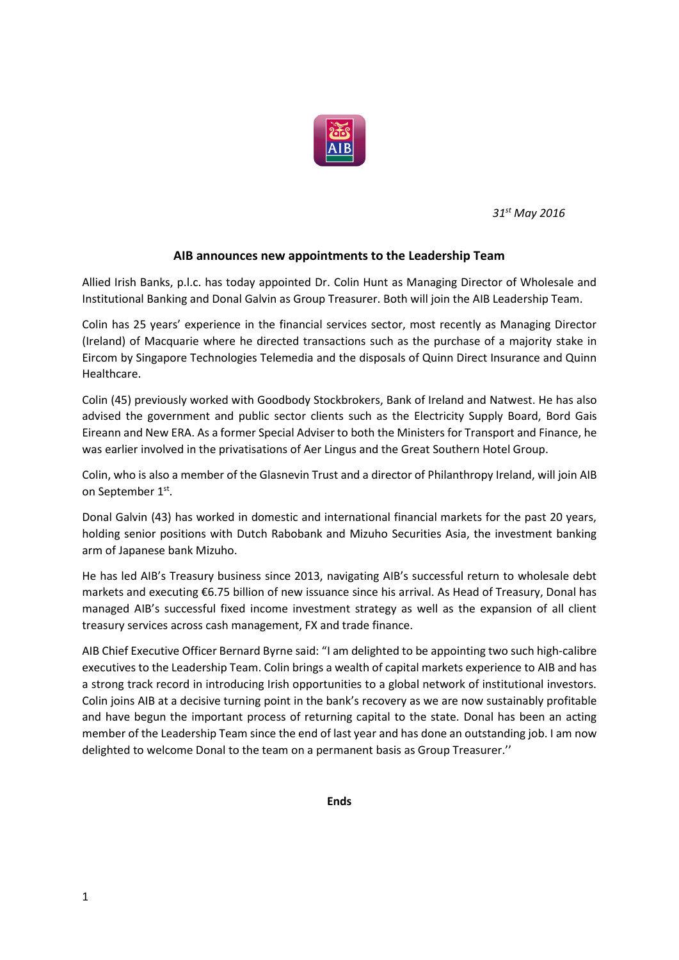

*31st May 2016*

#### **AIB announces new appointments to the Leadership Team**

Allied Irish Banks, p.l.c. has today appointed Dr. Colin Hunt as Managing Director of Wholesale and Institutional Banking and Donal Galvin as Group Treasurer. Both will join the AIB Leadership Team.

Colin has 25 years' experience in the financial services sector, most recently as Managing Director (Ireland) of Macquarie where he directed transactions such as the purchase of a majority stake in Eircom by Singapore Technologies Telemedia and the disposals of Quinn Direct Insurance and Quinn Healthcare.

Colin (45) previously worked with Goodbody Stockbrokers, Bank of Ireland and Natwest. He has also advised the government and public sector clients such as the Electricity Supply Board, Bord Gais Eireann and New ERA. As a former Special Adviser to both the Ministers for Transport and Finance, he was earlier involved in the privatisations of Aer Lingus and the Great Southern Hotel Group.

Colin, who is also a member of the Glasnevin Trust and a director of Philanthropy Ireland, will join AIB on September 1st.

Donal Galvin (43) has worked in domestic and international financial markets for the past 20 years, holding senior positions with Dutch Rabobank and Mizuho Securities Asia, the investment banking arm of Japanese bank Mizuho.

He has led AIB's Treasury business since 2013, navigating AIB's successful return to wholesale debt markets and executing €6.75 billion of new issuance since his arrival. As Head of Treasury, Donal has managed AIB's successful fixed income investment strategy as well as the expansion of all client treasury services across cash management, FX and trade finance.

AIB Chief Executive Officer Bernard Byrne said: "I am delighted to be appointing two such high-calibre executives to the Leadership Team. Colin brings a wealth of capital markets experience to AIB and has a strong track record in introducing Irish opportunities to a global network of institutional investors. Colin joins AIB at a decisive turning point in the bank's recovery as we are now sustainably profitable and have begun the important process of returning capital to the state. Donal has been an acting member of the Leadership Team since the end of last year and has done an outstanding job. I am now delighted to welcome Donal to the team on a permanent basis as Group Treasurer.''

**Ends**